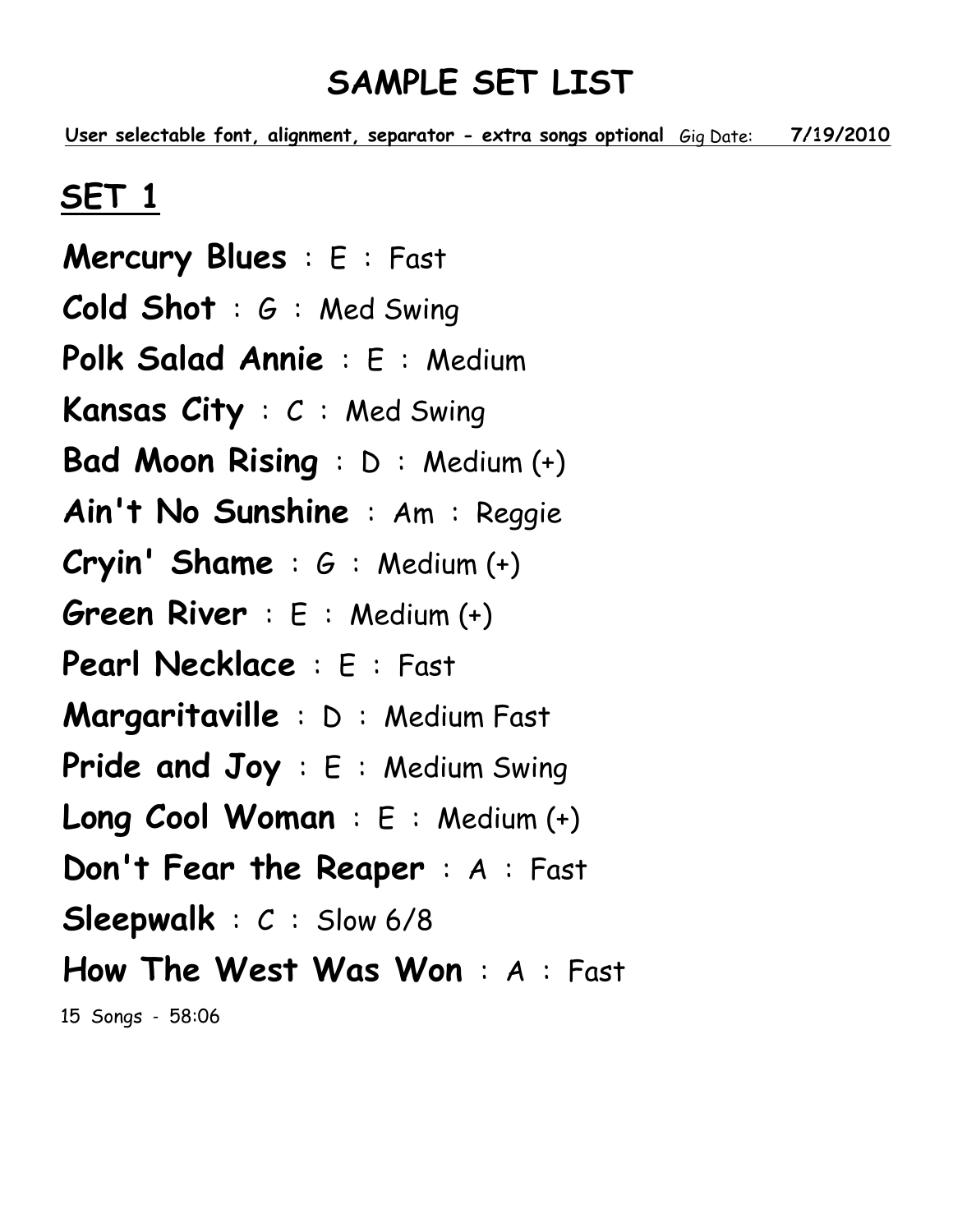<u>User selectable font, alignment, separator - extra songs optional Gig Date: 7/19/2010</u>

# SET 1

Mercury Blues : E : Fast Cold Shot : G : Med Swing Polk Salad Annie : E : Medium Kansas City : C : Med Swing Bad Moon Rising : D : Medium (+) Ain't No Sunshine : Am : Reggie **Cryin' Shame** :  $G$  : Medium  $(+)$ Green River : E : Medium (+) Pearl Necklace : E : Fast Margaritaville : D : Medium Fast Pride and Joy: E: Medium Swing Long Cool Woman : E : Medium (+) Don't Fear the Reaper : A : Fast Sleepwalk : C : Slow 6/8 How The West Was Won : A : Fast 15 Songs - 58:06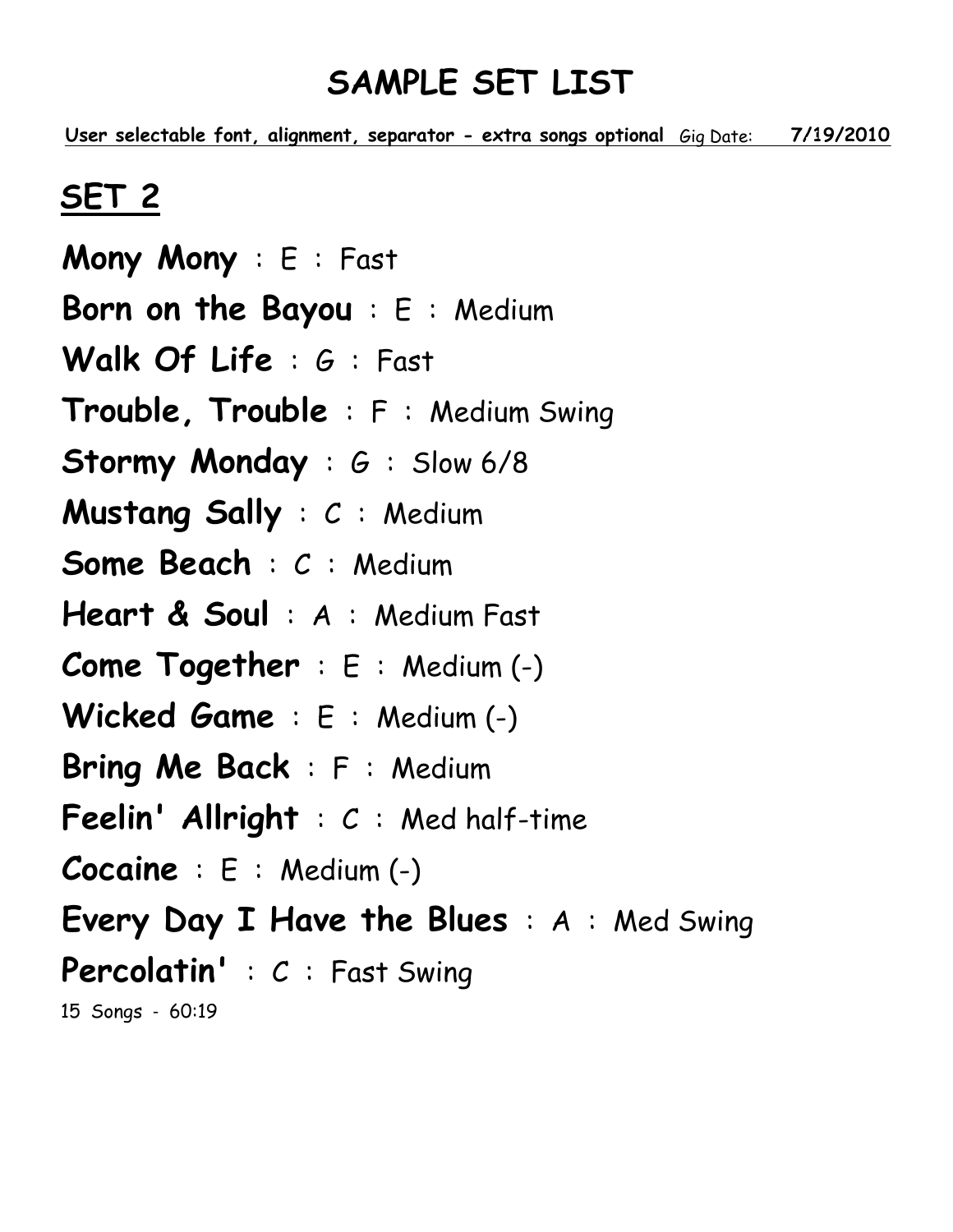<u>User selectable font, alignment, separator - extra songs optional Gig Date: 7/19/2010</u>

## SET 2

Mony Mony : E : Fast Born on the Bayou : E : Medium Walk Of Life: G: Fast Trouble, Trouble : F : Medium Swing Stormy Monday : G : Slow 6/8 Mustang Sally : C : Medium Some Beach : C : Medium Heart & Soul: A: Medium Fast Come Together : E : Medium (-) Wicked Game : E : Medium (-) Bring Me Back : F : Medium **Feelin' Allright** :  $C$  : Med half-time Cocaine : E : Medium (-) Every Day I Have the Blues : A : Med Swing Percolatin' : C : Fast Swing 15 Songs - 60:19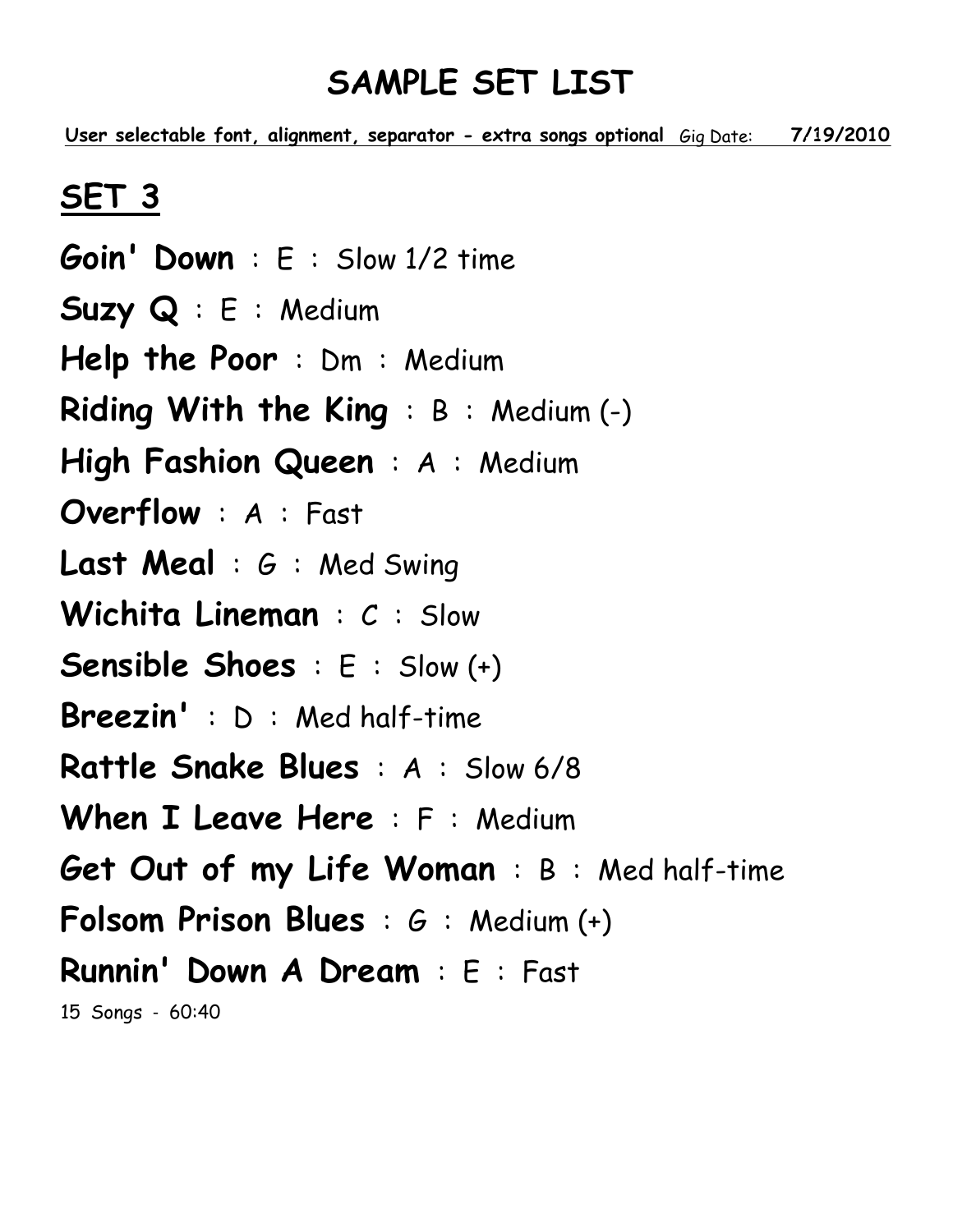<u>User selectable font, alignment, separator - extra songs optional Gig Date: 7/19/2010</u>

# SET 3

Goin' Down : E : Slow 1/2 time Suzy Q : E : Medium Help the Poor : Dm : Medium Riding With the King : B : Medium (-) High Fashion Queen: A: Medium Overflow : A : Fast Last Meal : G : Med Swing Wichita Lineman : C : Slow Sensible Shoes : E : Slow (+) Breezin' : D : Med half-time Rattle Snake Blues : A : Slow 6/8 When I Leave Here: F: Medium Get Out of my Life Woman : B : Med half-time Folsom Prison Blues : G : Medium (+) Runnin' Down A Dream : E : Fast 15 Songs - 60:40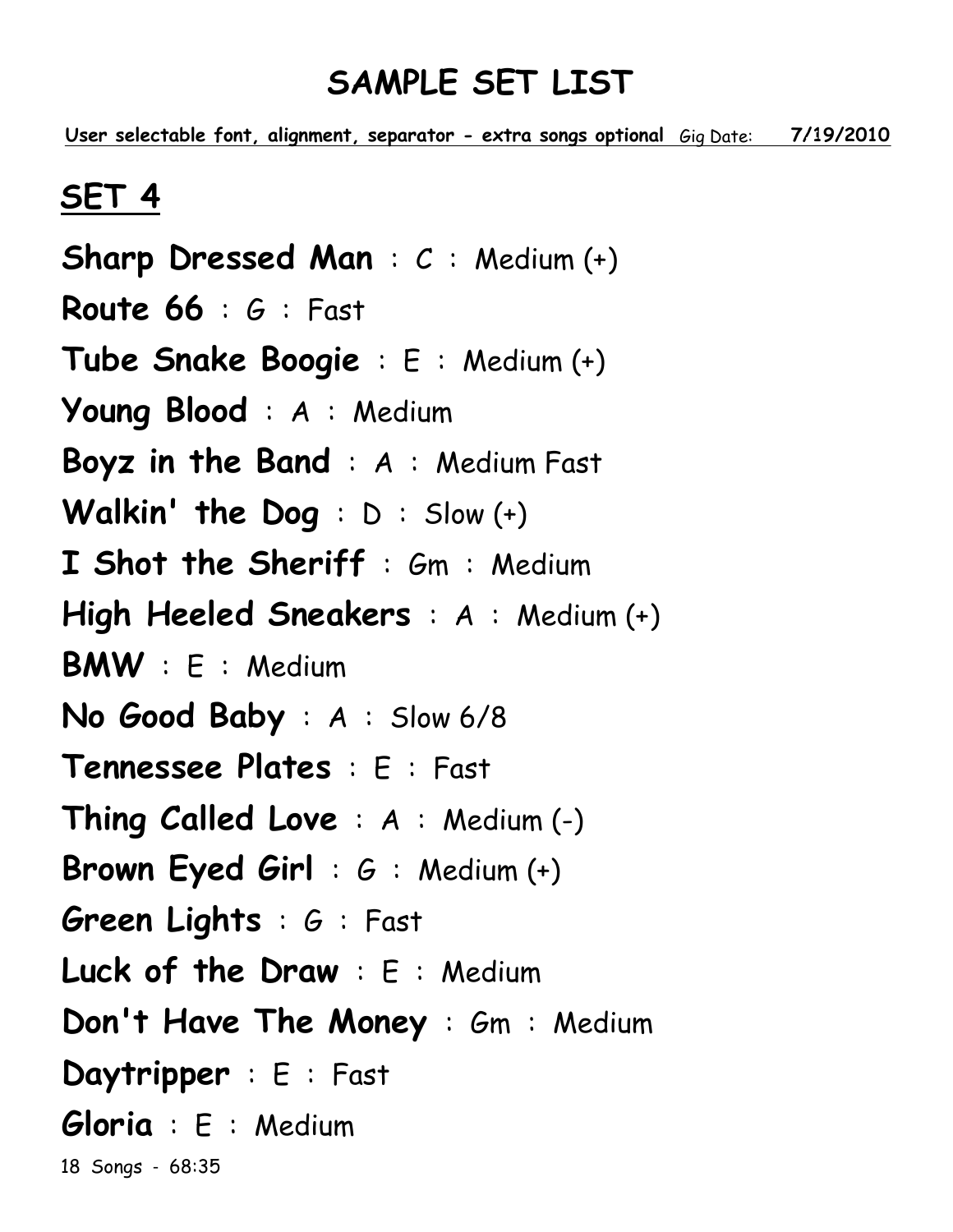<u>User selectable font, alignment, separator - extra songs optional Gig Date: 7/19/2010</u>

### SET 4

Sharp Dressed Man : C : Medium (+) Route  $66 : 6 :$  Fast Tube Snake Boogie : E : Medium (+) Young Blood : A : Medium Boyz in the Band : A : Medium Fast Walkin' the Dog : D : Slow (+) I Shot the Sheriff : Gm : Medium High Heeled Sneakers : A : Medium (+) BMW : E : Medium No Good Baby : A : Slow 6/8 Tennessee Plates : E : Fast Thing Called Love : A : Medium (-) Brown Eyed Girl : G : Medium (+) Green Lights : G : Fast Luck of the Draw : E : Medium Don't Have The Money : Gm : Medium Daytripper : E : Fast Gloria : E : Medium 18 Songs - 68:35